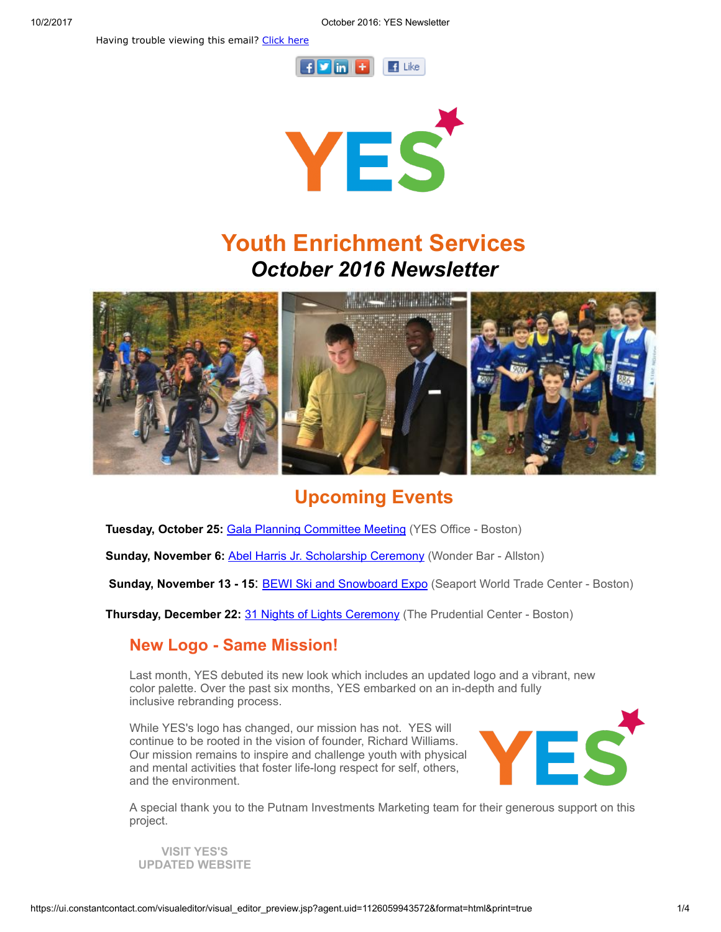Having trouble viewing this email? [Click](http://campaign.r20.constantcontact.com/render?ca=8701b5cf-7a19-4a9c-9bd7-27e68cf569ab&preview=true&m=1101413331897&id=preview) here





# Youth Enrichment Services October 2016 Newsletter



# Upcoming Events

Tuesday, October 25: Gala Planning [Committee](http://www.yeskids.org/event/gala-planning-committee-meeting/) Meeting (YES Office - Boston)

Sunday, November 6: Abel Harris Jr. [Scholarship](http://www.yeskids.org/event/abel-harris-jr-scholarship-ceremony/) Ceremony (Wonder Bar - Allston)

Sunday, November 13 - 15: BEWI Ski and [Snowboard](http://www.yeskids.org/event/join-yes-at-the-bewi-ski-snowboard-expo/) Expo (Seaport World Trade Center - Boston)

Thursday, December 22: 31 Nights of Lights [Ceremony](http://www.yeskids.org/31-nights-of-lights-lighting-ceremony-at-the-prudential-center/) (The Prudential Center - Boston)

### New Logo - Same Mission!

Last month, YES debuted its new look which includes an updated logo and a vibrant, new color palette. Over the past six months, YES embarked on an in-depth and fully inclusive rebranding process.

While YES's logo has changed, our mission has not. YES will continue to be rooted in the vision of founder, Richard Williams. Our mission remains to inspire and challenge youth with physical and mental activities that foster life-long respect for self, others, and the environment.



A special thank you to the Putnam Investments Marketing team for their generous support on this project.

VISIT [YES'S](http://www.yeskids.org/) [UPDATED](http://www.yeskids.org/) WEBSITE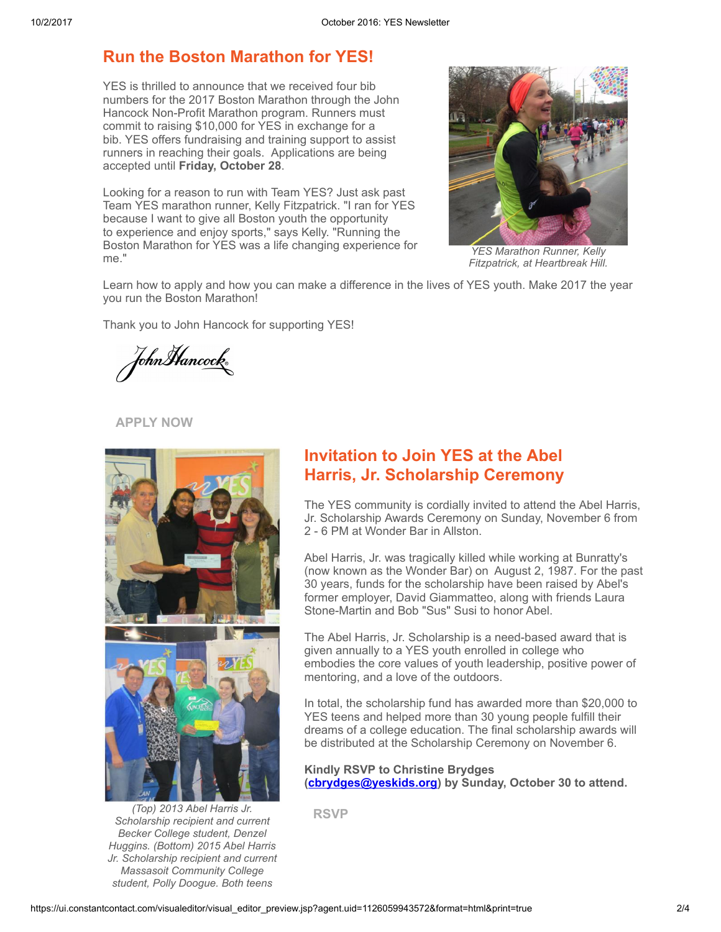### Run the Boston Marathon for YES!

YES is thrilled to announce that we received four bib numbers for the 2017 Boston Marathon through the John Hancock Non-Profit Marathon program. Runners must commit to raising \$10,000 for YES in exchange for a bib. YES offers fundraising and training support to assist runners in reaching their goals. Applications are being accepted until Friday, October 28.

Looking for a reason to run with Team YES? Just ask past Team YES marathon runner, Kelly Fitzpatrick. "I ran for YES because I want to give all Boston youth the opportunity to experience and enjoy sports," says Kelly. "Running the Boston Marathon for YES was a life changing experience for me."



YES Marathon Runner, Kelly Fitzpatrick, at Heartbreak Hill.

Learn how to apply and how you can make a difference in the lives of YES youth. Make 2017 the year you run the Boston Marathon!

Thank you to John Hancock for supporting YES!

JohnHancock®

#### [APPLY](http://www.yeskids.org/marathon) NOW



(Top) 2013 Abel Harris Jr. Scholarship recipient and current Becker College student, Denzel Huggins. (Bottom) 2015 Abel Harris Jr. Scholarship recipient and current Massasoit Community College student, Polly Doogue. Both teens

## Invitation to Join YES at the Abel Harris, Jr. Scholarship Ceremony

The YES community is cordially invited to attend the Abel Harris, Jr. Scholarship Awards Ceremony on Sunday, November 6 from 2 - 6 PM at Wonder Bar in Allston.

Abel Harris, Jr. was tragically killed while working at Bunratty's (now known as the Wonder Bar) on August 2, 1987. For the past 30 years, funds for the scholarship have been raised by Abel's former employer, David Giammatteo, along with friends Laura Stone-Martin and Bob "Sus" Susi to honor Abel.

The Abel Harris, Jr. Scholarship is a need-based award that is given annually to a YES youth enrolled in college who embodies the core values of youth leadership, positive power of mentoring, and a love of the outdoors.

In total, the scholarship fund has awarded more than \$20,000 to YES teens and helped more than 30 young people fulfill their dreams of a college education. The final scholarship awards will be distributed at the Scholarship Ceremony on November 6.

Kindly RSVP to Christine Brydges ([cbrydges@yeskids.org\)](mailto:cbrydges@yeskids.org) by Sunday, October 30 to attend.

[RSVP](http://www.yeskids.org/event/abel-harris-jr-scholarship-ceremony/)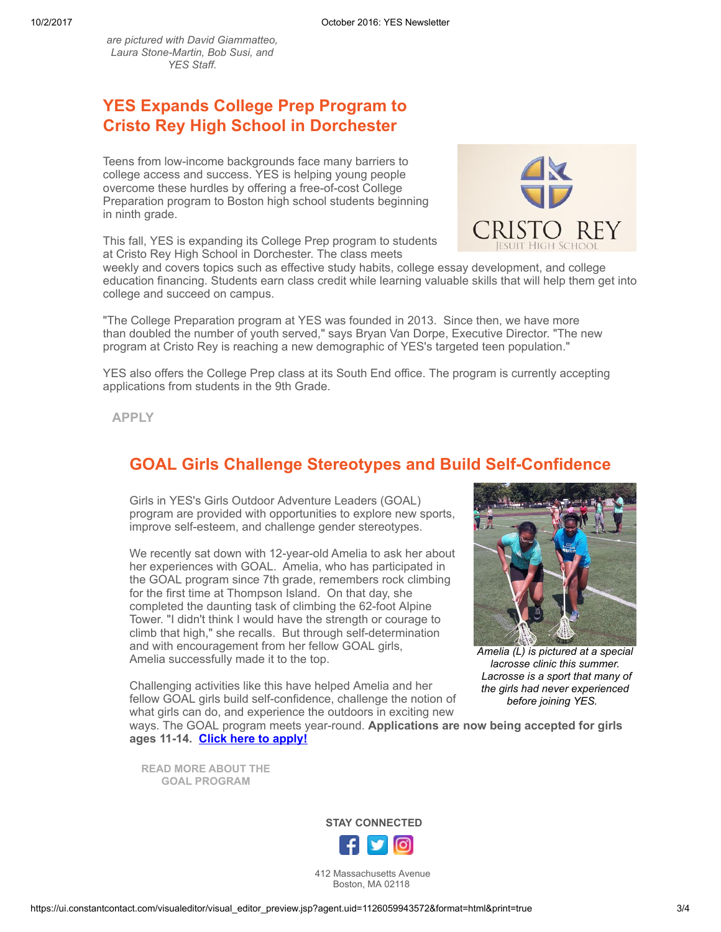are pictured with David Giammatteo, Laura Stone-Martin, Bob Susi, and YES Staff.

## YES Expands College Prep Program to Cristo Rey High School in Dorchester

Teens from low-income backgrounds face many barriers to college access and success. YES is helping young people overcome these hurdles by offering a free-of-cost College Preparation program to Boston high school students beginning in ninth grade.

This fall, YES is expanding its College Prep program to students at Cristo Rey High School in Dorchester. The class meets



weekly and covers topics such as effective study habits, college essay development, and college education financing. Students earn class credit while learning valuable skills that will help them get into college and succeed on campus.

"The College Preparation program at YES was founded in 2013. Since then, we have more than doubled the number of youth served," says Bryan Van Dorpe, Executive Director. "The new program at Cristo Rey is reaching a new demographic of YES's targeted teen population."

YES also offers the College Prep class at its South End office. The program is currently accepting applications from students in the 9th Grade.

[APPLY](http://www.yeskids.org/college/)

#### GOAL Girls Challenge Stereotypes and Build Self-Confidence

Girls in YES's Girls Outdoor Adventure Leaders (GOAL) program are provided with opportunities to explore new sports, improve self-esteem, and challenge gender stereotypes.

We recently sat down with 12-year-old Amelia to ask her about her experiences with GOAL. Amelia, who has participated in the GOAL program since 7th grade, remembers rock climbing for the first time at Thompson Island. On that day, she completed the daunting task of climbing the 62-foot Alpine Tower. "I didn't think I would have the strength or courage to climb that high," she recalls. But through self-determination and with encouragement from her fellow GOAL girls, Amelia successfully made it to the top.



Amelia (L) is pictured at a special lacrosse clinic this summer. Lacrosse is a sport that many of the girls had never experienced before joining YES.

Challenging activities like this have helped Amelia and her fellow GOAL girls build self-confidence, challenge the notion of what girls can do, and experience the outdoors in exciting new

ways. The GOAL program meets year-round. Applications are now being accepted for girls ages 11-14. Click here to [apply!](https://fs30.formsite.com/volunteeryeskidsorg/form41/index.html)

[READ MORE](http://www.yeskids.org/goal-girls-empowered-through-yes/) ABOUT THE GOAL PROGRAM



412 Massachusetts Avenue Boston, MA 02118